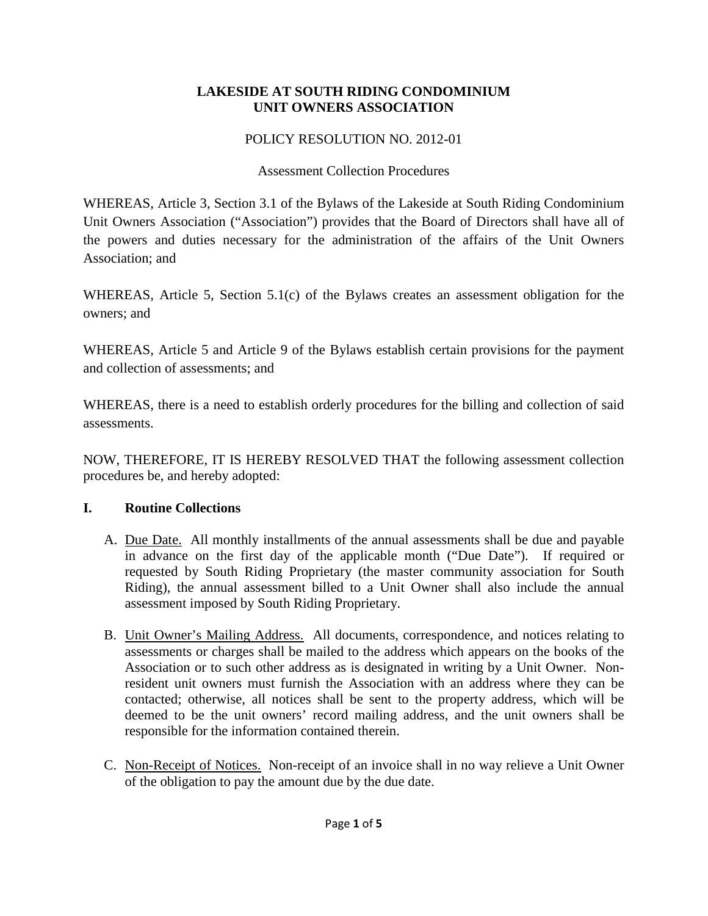#### **LAKESIDE AT SOUTH RIDING CONDOMINIUM UNIT OWNERS ASSOCIATION**

## POLICY RESOLUTION NO. 2012-01

## Assessment Collection Procedures

WHEREAS, Article 3, Section 3.1 of the Bylaws of the Lakeside at South Riding Condominium Unit Owners Association ("Association") provides that the Board of Directors shall have all of the powers and duties necessary for the administration of the affairs of the Unit Owners Association; and

WHEREAS, Article 5, Section 5.1(c) of the Bylaws creates an assessment obligation for the owners; and

WHEREAS, Article 5 and Article 9 of the Bylaws establish certain provisions for the payment and collection of assessments; and

WHEREAS, there is a need to establish orderly procedures for the billing and collection of said assessments.

NOW, THEREFORE, IT IS HEREBY RESOLVED THAT the following assessment collection procedures be, and hereby adopted:

# **I. Routine Collections**

- A. Due Date. All monthly installments of the annual assessments shall be due and payable in advance on the first day of the applicable month ("Due Date"). If required or requested by South Riding Proprietary (the master community association for South Riding), the annual assessment billed to a Unit Owner shall also include the annual assessment imposed by South Riding Proprietary.
- B. Unit Owner's Mailing Address. All documents, correspondence, and notices relating to assessments or charges shall be mailed to the address which appears on the books of the Association or to such other address as is designated in writing by a Unit Owner. Nonresident unit owners must furnish the Association with an address where they can be contacted; otherwise, all notices shall be sent to the property address, which will be deemed to be the unit owners' record mailing address, and the unit owners shall be responsible for the information contained therein.
- C. Non-Receipt of Notices. Non-receipt of an invoice shall in no way relieve a Unit Owner of the obligation to pay the amount due by the due date.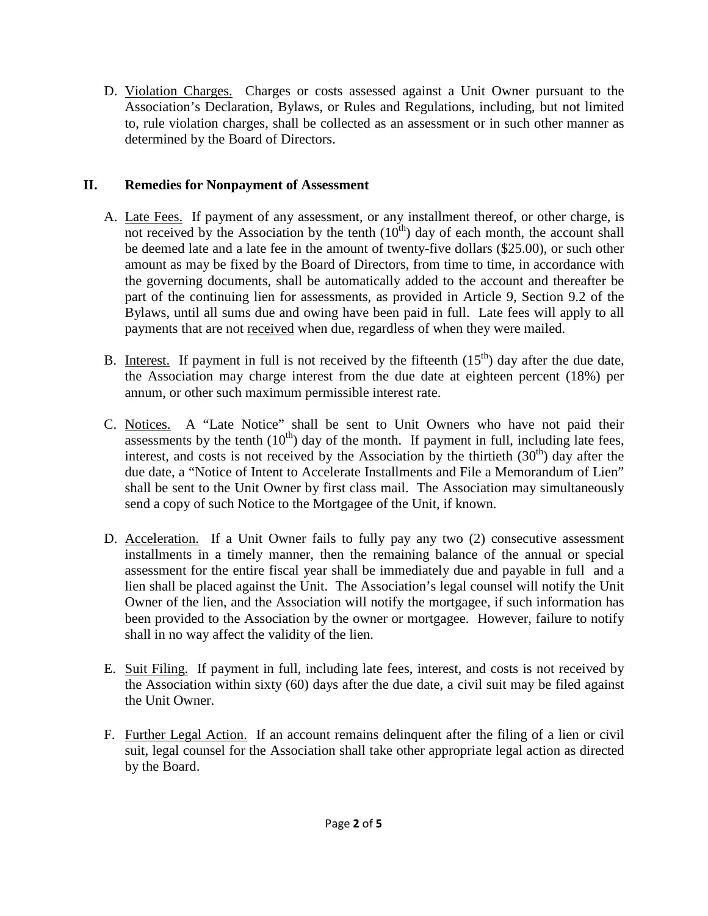D. Violation Charges. Charges or costs assessed against a Unit Owner pursuant to the Association's Declaration, Bylaws, or Rules and Regulations, including, but not limited to, rule violation charges, shall be collected as an assessment or in such other manner as determined by the Board of Directors.

## **II. Remedies for Nonpayment of Assessment**

- A. Late Fees. If payment of any assessment, or any installment thereof, or other charge, is not received by the Association by the tenth  $(10<sup>th</sup>)$  day of each month, the account shall be deemed late and a late fee in the amount of twenty-five dollars (\$25.00), or such other amount as may be fixed by the Board of Directors, from time to time, in accordance with the governing documents, shall be automatically added to the account and thereafter be part of the continuing lien for assessments, as provided in Article 9, Section 9.2 of the Bylaws, until all sums due and owing have been paid in full. Late fees will apply to all payments that are not received when due, regardless of when they were mailed.
- B. Interest. If payment in full is not received by the fifteenth  $(15<sup>th</sup>)$  day after the due date, the Association may charge interest from the due date at eighteen percent (18%) per annum, or other such maximum permissible interest rate.
- C. Notices. A "Late Notice" shall be sent to Unit Owners who have not paid their assessments by the tenth  $(10<sup>th</sup>)$  day of the month. If payment in full, including late fees, interest, and costs is not received by the Association by the thirtieth  $(30<sup>th</sup>)$  day after the due date, a "Notice of Intent to Accelerate Installments and File a Memorandum of Lien" shall be sent to the Unit Owner by first class mail. The Association may simultaneously send a copy of such Notice to the Mortgagee of the Unit, if known.
- D. Acceleration. If a Unit Owner fails to fully pay any two (2) consecutive assessment installments in a timely manner, then the remaining balance of the annual or special assessment for the entire fiscal year shall be immediately due and payable in full and a lien shall be placed against the Unit. The Association's legal counsel will notify the Unit Owner of the lien, and the Association will notify the mortgagee, if such information has been provided to the Association by the owner or mortgagee. However, failure to notify shall in no way affect the validity of the lien.
- E. Suit Filing. If payment in full, including late fees, interest, and costs is not received by the Association within sixty (60) days after the due date, a civil suit may be filed against the Unit Owner.
- F. Further Legal Action. If an account remains delinquent after the filing of a lien or civil suit, legal counsel for the Association shall take other appropriate legal action as directed by the Board.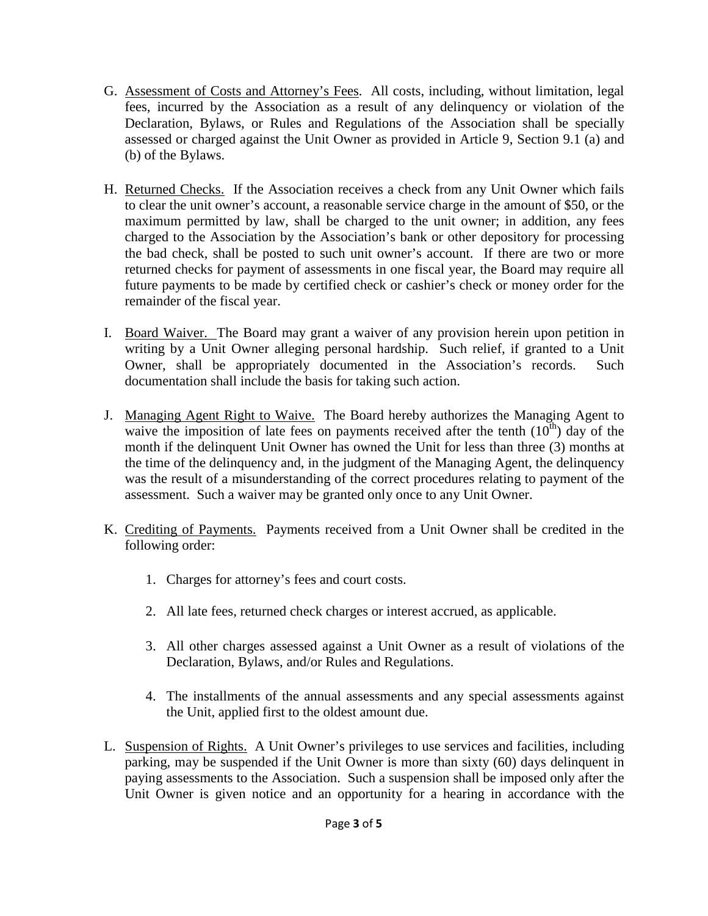- G. Assessment of Costs and Attorney's Fees. All costs, including, without limitation, legal fees, incurred by the Association as a result of any delinquency or violation of the Declaration, Bylaws, or Rules and Regulations of the Association shall be specially assessed or charged against the Unit Owner as provided in Article 9, Section 9.1 (a) and (b) of the Bylaws.
- H. Returned Checks. If the Association receives a check from any Unit Owner which fails to clear the unit owner's account, a reasonable service charge in the amount of \$50, or the maximum permitted by law, shall be charged to the unit owner; in addition, any fees charged to the Association by the Association's bank or other depository for processing the bad check, shall be posted to such unit owner's account. If there are two or more returned checks for payment of assessments in one fiscal year, the Board may require all future payments to be made by certified check or cashier's check or money order for the remainder of the fiscal year.
- I. Board Waiver. The Board may grant a waiver of any provision herein upon petition in writing by a Unit Owner alleging personal hardship. Such relief, if granted to a Unit Owner, shall be appropriately documented in the Association's records. Such documentation shall include the basis for taking such action.
- J. Managing Agent Right to Waive. The Board hereby authorizes the Managing Agent to waive the imposition of late fees on payments received after the tenth  $(10<sup>th</sup>)$  day of the month if the delinquent Unit Owner has owned the Unit for less than three (3) months at the time of the delinquency and, in the judgment of the Managing Agent, the delinquency was the result of a misunderstanding of the correct procedures relating to payment of the assessment. Such a waiver may be granted only once to any Unit Owner.
- K. Crediting of Payments. Payments received from a Unit Owner shall be credited in the following order:
	- 1. Charges for attorney's fees and court costs.
	- 2. All late fees, returned check charges or interest accrued, as applicable.
	- 3. All other charges assessed against a Unit Owner as a result of violations of the Declaration, Bylaws, and/or Rules and Regulations.
	- 4. The installments of the annual assessments and any special assessments against the Unit, applied first to the oldest amount due.
- L. Suspension of Rights. A Unit Owner's privileges to use services and facilities, including parking, may be suspended if the Unit Owner is more than sixty (60) days delinquent in paying assessments to the Association. Such a suspension shall be imposed only after the Unit Owner is given notice and an opportunity for a hearing in accordance with the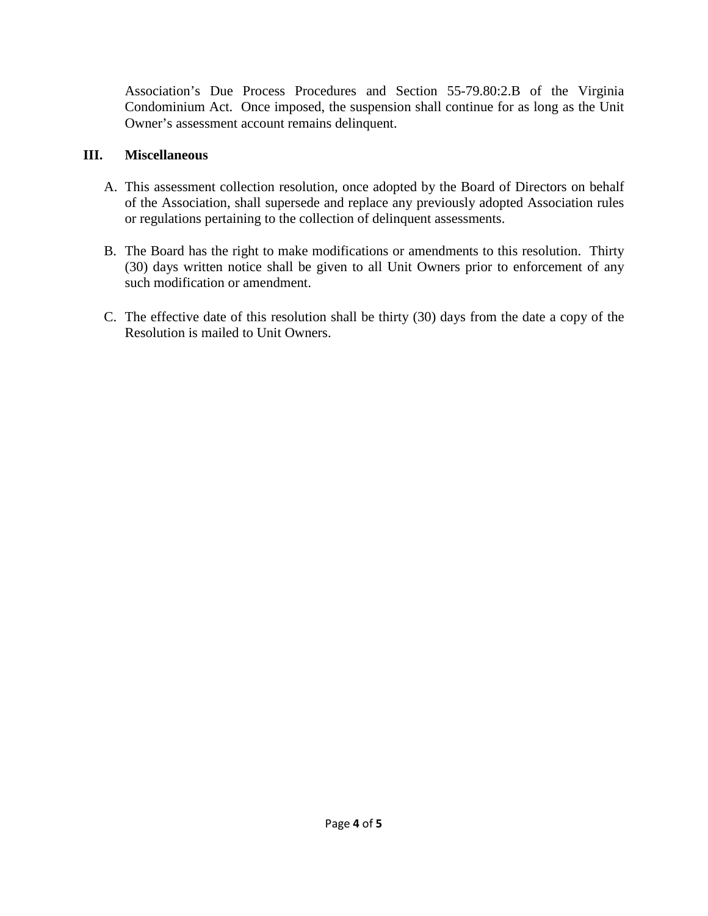Association's Due Process Procedures and Section 55-79.80:2.B of the Virginia Condominium Act. Once imposed, the suspension shall continue for as long as the Unit Owner's assessment account remains delinquent.

## **III. Miscellaneous**

- A. This assessment collection resolution, once adopted by the Board of Directors on behalf of the Association, shall supersede and replace any previously adopted Association rules or regulations pertaining to the collection of delinquent assessments.
- B. The Board has the right to make modifications or amendments to this resolution. Thirty (30) days written notice shall be given to all Unit Owners prior to enforcement of any such modification or amendment.
- C. The effective date of this resolution shall be thirty (30) days from the date a copy of the Resolution is mailed to Unit Owners.